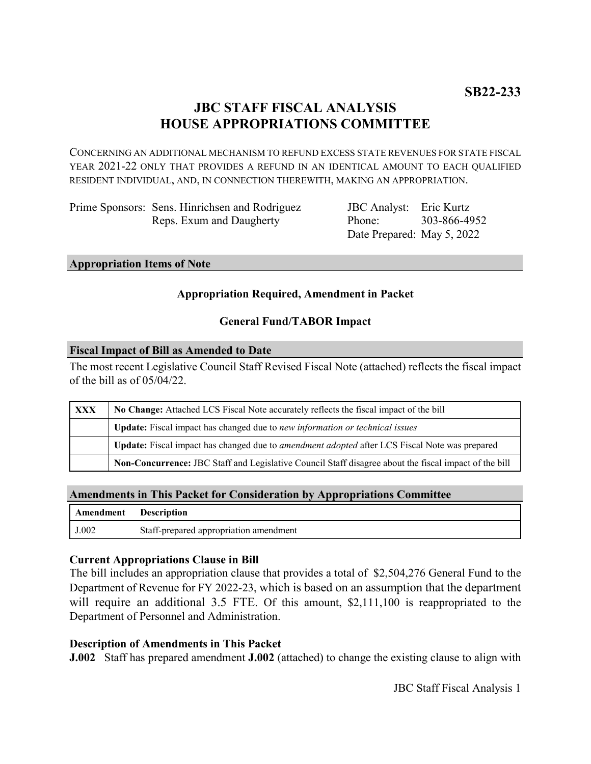# **JBC STAFF FISCAL ANALYSIS HOUSE APPROPRIATIONS COMMITTEE**

CONCERNING AN ADDITIONAL MECHANISM TO REFUND EXCESS STATE REVENUES FOR STATE FISCAL YEAR 2021-22 ONLY THAT PROVIDES A REFUND IN AN IDENTICAL AMOUNT TO EACH QUALIFIED RESIDENT INDIVIDUAL, AND, IN CONNECTION THEREWITH, MAKING AN APPROPRIATION.

Prime Sponsors: Sens. Hinrichsen and Rodriguez Reps. Exum and Daugherty

JBC Analyst: Eric Kurtz Phone: Date Prepared: May 5, 2022 303-866-4952

#### **Appropriation Items of Note**

## **Appropriation Required, Amendment in Packet**

### **General Fund/TABOR Impact**

#### **Fiscal Impact of Bill as Amended to Date**

The most recent Legislative Council Staff Revised Fiscal Note (attached) reflects the fiscal impact of the bill as of 05/04/22.

| XXX | No Change: Attached LCS Fiscal Note accurately reflects the fiscal impact of the bill                       |
|-----|-------------------------------------------------------------------------------------------------------------|
|     | Update: Fiscal impact has changed due to new information or technical issues                                |
|     | <b>Update:</b> Fiscal impact has changed due to <i>amendment adopted</i> after LCS Fiscal Note was prepared |
|     | Non-Concurrence: JBC Staff and Legislative Council Staff disagree about the fiscal impact of the bill       |

#### **Amendments in This Packet for Consideration by Appropriations Committee**

| Amendment Description |                                        |
|-----------------------|----------------------------------------|
| J.002                 | Staff-prepared appropriation amendment |

### **Current Appropriations Clause in Bill**

The bill includes an appropriation clause that provides a total of \$2,504,276 General Fund to the Department of Revenue for FY 2022-23, which is based on an assumption that the department will require an additional 3.5 FTE. Of this amount, \$2,111,100 is reappropriated to the Department of Personnel and Administration.

### **Description of Amendments in This Packet**

**J.002** Staff has prepared amendment **J.002** (attached) to change the existing clause to align with